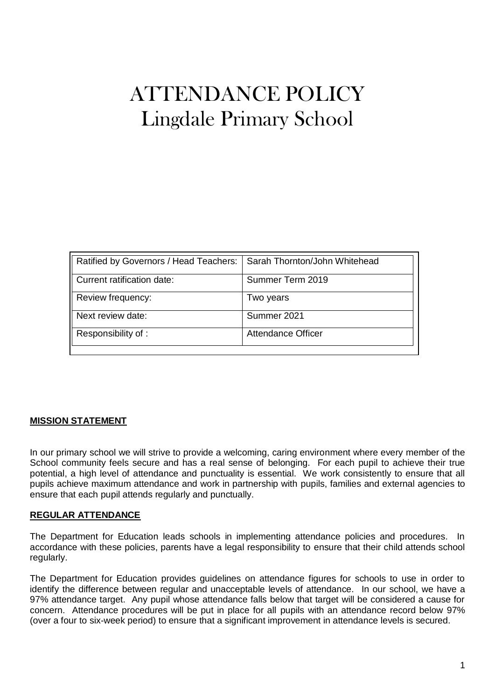# ATTENDANCE POLICY Lingdale Primary School

| Sarah Thornton/John Whitehead |
|-------------------------------|
| Summer Term 2019              |
| Two years                     |
| Summer 2021                   |
| <b>Attendance Officer</b>     |
|                               |

## **MISSION STATEMENT**

In our primary school we will strive to provide a welcoming, caring environment where every member of the School community feels secure and has a real sense of belonging. For each pupil to achieve their true potential, a high level of attendance and punctuality is essential. We work consistently to ensure that all pupils achieve maximum attendance and work in partnership with pupils, families and external agencies to ensure that each pupil attends regularly and punctually.

#### **REGULAR ATTENDANCE**

The Department for Education leads schools in implementing attendance policies and procedures. In accordance with these policies, parents have a legal responsibility to ensure that their child attends school regularly.

The Department for Education provides guidelines on attendance figures for schools to use in order to identify the difference between regular and unacceptable levels of attendance. In our school, we have a 97% attendance target. Any pupil whose attendance falls below that target will be considered a cause for concern. Attendance procedures will be put in place for all pupils with an attendance record below 97% (over a four to six-week period) to ensure that a significant improvement in attendance levels is secured.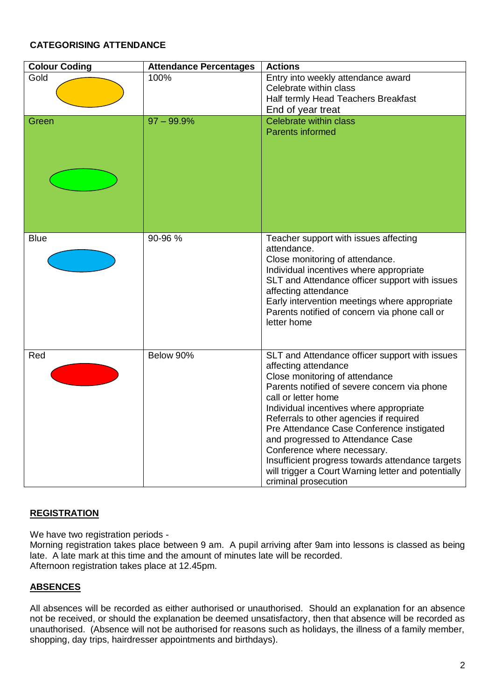## **CATEGORISING ATTENDANCE**

| <b>Colour Coding</b> | <b>Attendance Percentages</b> | <b>Actions</b>                                                                                                                                                                                                                                                                                                                                                                                                                                                                                                            |
|----------------------|-------------------------------|---------------------------------------------------------------------------------------------------------------------------------------------------------------------------------------------------------------------------------------------------------------------------------------------------------------------------------------------------------------------------------------------------------------------------------------------------------------------------------------------------------------------------|
| Gold                 | 100%                          | Entry into weekly attendance award                                                                                                                                                                                                                                                                                                                                                                                                                                                                                        |
|                      |                               | Celebrate within class                                                                                                                                                                                                                                                                                                                                                                                                                                                                                                    |
|                      |                               | Half termly Head Teachers Breakfast                                                                                                                                                                                                                                                                                                                                                                                                                                                                                       |
|                      |                               | End of year treat                                                                                                                                                                                                                                                                                                                                                                                                                                                                                                         |
| Green                | $97 - 99.9%$                  | Celebrate within class<br><b>Parents informed</b>                                                                                                                                                                                                                                                                                                                                                                                                                                                                         |
|                      |                               |                                                                                                                                                                                                                                                                                                                                                                                                                                                                                                                           |
| <b>Blue</b>          | 90-96 %                       | Teacher support with issues affecting<br>attendance.<br>Close monitoring of attendance.<br>Individual incentives where appropriate<br>SLT and Attendance officer support with issues<br>affecting attendance<br>Early intervention meetings where appropriate<br>Parents notified of concern via phone call or<br>letter home                                                                                                                                                                                             |
| Red                  | Below 90%                     | SLT and Attendance officer support with issues<br>affecting attendance<br>Close monitoring of attendance<br>Parents notified of severe concern via phone<br>call or letter home<br>Individual incentives where appropriate<br>Referrals to other agencies if required<br>Pre Attendance Case Conference instigated<br>and progressed to Attendance Case<br>Conference where necessary.<br>Insufficient progress towards attendance targets<br>will trigger a Court Warning letter and potentially<br>criminal prosecution |

## **REGISTRATION**

We have two registration periods -

Morning registration takes place between 9 am. A pupil arriving after 9am into lessons is classed as being late. A late mark at this time and the amount of minutes late will be recorded. Afternoon registration takes place at 12.45pm.

## **ABSENCES**

All absences will be recorded as either authorised or unauthorised. Should an explanation for an absence not be received, or should the explanation be deemed unsatisfactory, then that absence will be recorded as unauthorised. (Absence will not be authorised for reasons such as holidays, the illness of a family member, shopping, day trips, hairdresser appointments and birthdays).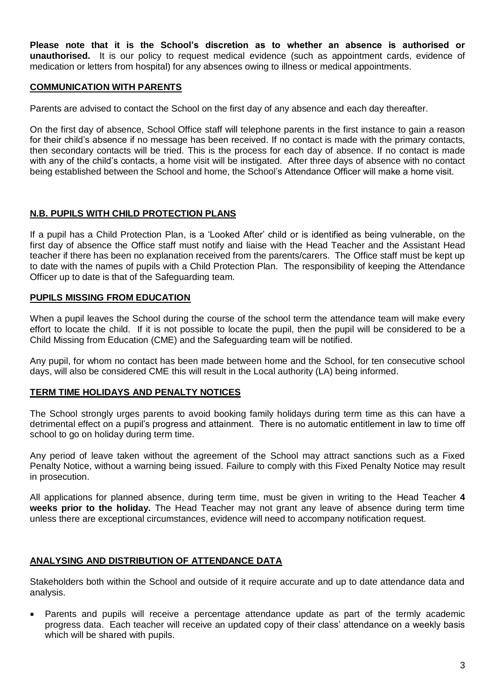**Please note that it is the School's discretion as to whether an absence is authorised or unauthorised.** It is our policy to request medical evidence (such as appointment cards, evidence of medication or letters from hospital) for any absences owing to illness or medical appointments.

#### **COMMUNICATION WITH PARENTS**

Parents are advised to contact the School on the first day of any absence and each day thereafter.

On the first day of absence, School Office staff will telephone parents in the first instance to gain a reason for their child's absence if no message has been received. If no contact is made with the primary contacts, then secondary contacts will be tried. This is the process for each day of absence. If no contact is made with any of the child's contacts, a home visit will be instigated. After three days of absence with no contact being established between the School and home, the School's Attendance Officer will make a home visit.

#### **N.B. PUPILS WITH CHILD PROTECTION PLANS**

If a pupil has a Child Protection Plan, is a 'Looked After' child or is identified as being vulnerable, on the first day of absence the Office staff must notify and liaise with the Head Teacher and the Assistant Head teacher if there has been no explanation received from the parents/carers. The Office staff must be kept up to date with the names of pupils with a Child Protection Plan. The responsibility of keeping the Attendance Officer up to date is that of the Safeguarding team.

#### **PUPILS MISSING FROM EDUCATION**

When a pupil leaves the School during the course of the school term the attendance team will make every effort to locate the child. If it is not possible to locate the pupil, then the pupil will be considered to be a Child Missing from Education (CME) and the Safeguarding team will be notified.

Any pupil, for whom no contact has been made between home and the School, for ten consecutive school days, will also be considered CME this will result in the Local authority (LA) being informed.

#### **TERM TIME HOLIDAYS AND PENALTY NOTICES**

The School strongly urges parents to avoid booking family holidays during term time as this can have a detrimental effect on a pupil's progress and attainment. There is no automatic entitlement in law to time off school to go on holiday during term time.

Any period of leave taken without the agreement of the School may attract sanctions such as a Fixed Penalty Notice, without a warning being issued. Failure to comply with this Fixed Penalty Notice may result in prosecution.

All applications for planned absence, during term time, must be given in writing to the Head Teacher **4 weeks prior to the holiday.** The Head Teacher may not grant any leave of absence during term time unless there are exceptional circumstances, evidence will need to accompany notification request.

#### **ANALYSING AND DISTRIBUTION OF ATTENDANCE DATA**

Stakeholders both within the School and outside of it require accurate and up to date attendance data and analysis.

 Parents and pupils will receive a percentage attendance update as part of the termly academic progress data. Each teacher will receive an updated copy of their class' attendance on a weekly basis which will be shared with pupils.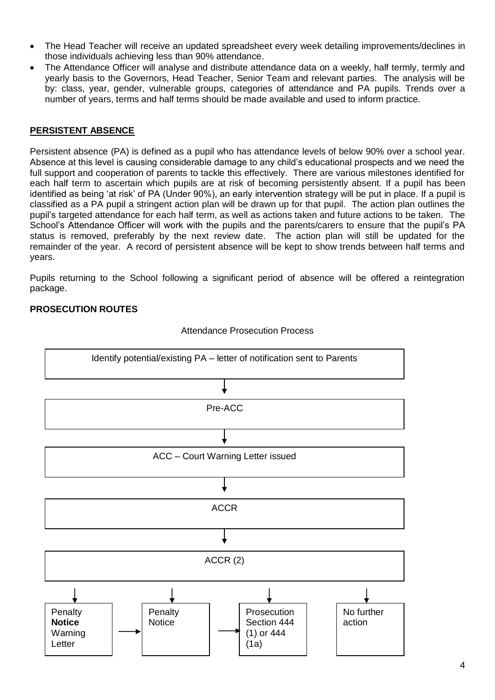- The Head Teacher will receive an updated spreadsheet every week detailing improvements/declines in those individuals achieving less than 90% attendance.
- The Attendance Officer will analyse and distribute attendance data on a weekly, half termly, termly and yearly basis to the Governors, Head Teacher, Senior Team and relevant parties. The analysis will be by: class, year, gender, vulnerable groups, categories of attendance and PA pupils. Trends over a number of years, terms and half terms should be made available and used to inform practice.

### **PERSISTENT ABSENCE**

Persistent absence (PA) is defined as a pupil who has attendance levels of below 90% over a school year. Absence at this level is causing considerable damage to any child's educational prospects and we need the full support and cooperation of parents to tackle this effectively. There are various milestones identified for each half term to ascertain which pupils are at risk of becoming persistently absent. If a pupil has been identified as being 'at risk' of PA (Under 90%), an early intervention strategy will be put in place. If a pupil is classified as a PA pupil a stringent action plan will be drawn up for that pupil. The action plan outlines the pupil's targeted attendance for each half term, as well as actions taken and future actions to be taken. The School's Attendance Officer will work with the pupils and the parents/carers to ensure that the pupil's PA status is removed, preferably by the next review date. The action plan will still be updated for the remainder of the year. A record of persistent absence will be kept to show trends between half terms and years.

Pupils returning to the School following a significant period of absence will be offered a reintegration package.

### **PROSECUTION ROUTES**



Attendance Prosecution Process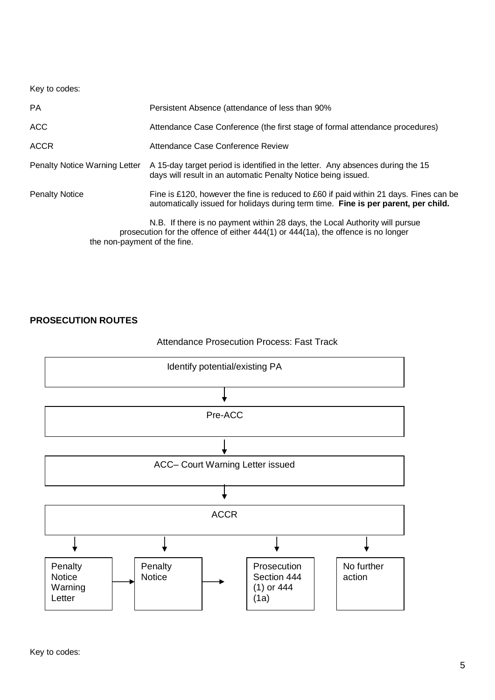Key to codes:

| <b>PA</b>                     | Persistent Absence (attendance of less than 90%                                                                                                                             |
|-------------------------------|-----------------------------------------------------------------------------------------------------------------------------------------------------------------------------|
| ACC                           | Attendance Case Conference (the first stage of formal attendance procedures)                                                                                                |
| <b>ACCR</b>                   | Attendance Case Conference Review                                                                                                                                           |
| Penalty Notice Warning Letter | A 15-day target period is identified in the letter. Any absences during the 15<br>days will result in an automatic Penalty Notice being issued.                             |
| <b>Penalty Notice</b>         | Fine is £120, however the fine is reduced to £60 if paid within 21 days. Fines can be<br>automatically issued for holidays during term time. Fine is per parent, per child. |
| the non-payment of the fine.  | N.B. If there is no payment within 28 days, the Local Authority will pursue<br>prosecution for the offence of either 444(1) or 444(1a), the offence is no longer            |

### **PROSECUTION ROUTES**

## Attendance Prosecution Process: Fast Track

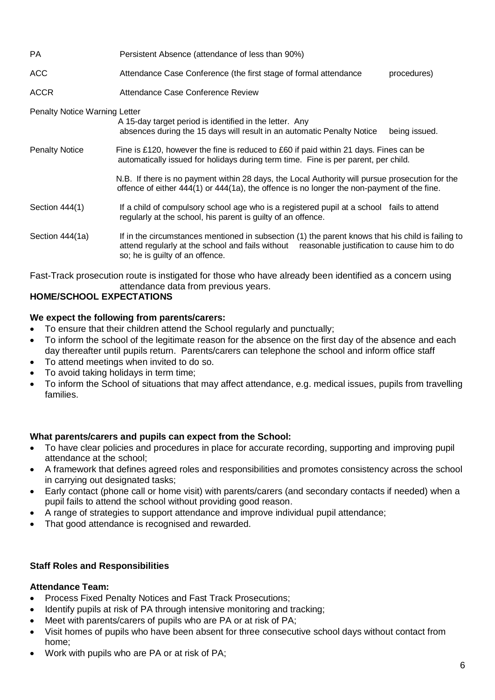| PA                                   | Persistent Absence (attendance of less than 90%)                                                                                                                                                                                     |
|--------------------------------------|--------------------------------------------------------------------------------------------------------------------------------------------------------------------------------------------------------------------------------------|
| ACC                                  | Attendance Case Conference (the first stage of formal attendance<br>procedures)                                                                                                                                                      |
| ACCR                                 | Attendance Case Conference Review                                                                                                                                                                                                    |
| <b>Penalty Notice Warning Letter</b> | A 15-day target period is identified in the letter. Any<br>absences during the 15 days will result in an automatic Penalty Notice<br>being issued.                                                                                   |
| <b>Penalty Notice</b>                | Fine is £120, however the fine is reduced to £60 if paid within 21 days. Fines can be<br>automatically issued for holidays during term time. Fine is per parent, per child.                                                          |
|                                      | N.B. If there is no payment within 28 days, the Local Authority will pursue prosecution for the<br>offence of either 444(1) or 444(1a), the offence is no longer the non-payment of the fine.                                        |
| Section 444(1)                       | If a child of compulsory school age who is a registered pupil at a school fails to attend<br>regularly at the school, his parent is guilty of an offence.                                                                            |
| Section 444(1a)                      | If in the circumstances mentioned in subsection (1) the parent knows that his child is failing to<br>attend regularly at the school and fails without reasonable justification to cause him to do<br>so; he is guilty of an offence. |

Fast-Track prosecution route is instigated for those who have already been identified as a concern using attendance data from previous years.

# **HOME/SCHOOL EXPECTATIONS**

### **We expect the following from parents/carers:**

- To ensure that their children attend the School regularly and punctually;
- To inform the school of the legitimate reason for the absence on the first day of the absence and each day thereafter until pupils return. Parents/carers can telephone the school and inform office staff
- To attend meetings when invited to do so.
- To avoid taking holidays in term time;
- To inform the School of situations that may affect attendance, e.g. medical issues, pupils from travelling families.

#### **What parents/carers and pupils can expect from the School:**

- To have clear policies and procedures in place for accurate recording, supporting and improving pupil attendance at the school;
- A framework that defines agreed roles and responsibilities and promotes consistency across the school in carrying out designated tasks;
- Early contact (phone call or home visit) with parents/carers (and secondary contacts if needed) when a pupil fails to attend the school without providing good reason.
- A range of strategies to support attendance and improve individual pupil attendance;
- That good attendance is recognised and rewarded.

#### **Staff Roles and Responsibilities**

## **Attendance Team:**

- Process Fixed Penalty Notices and Fast Track Prosecutions;
- Identify pupils at risk of PA through intensive monitoring and tracking;
- Meet with parents/carers of pupils who are PA or at risk of PA;
- Visit homes of pupils who have been absent for three consecutive school days without contact from home;
- Work with pupils who are PA or at risk of PA;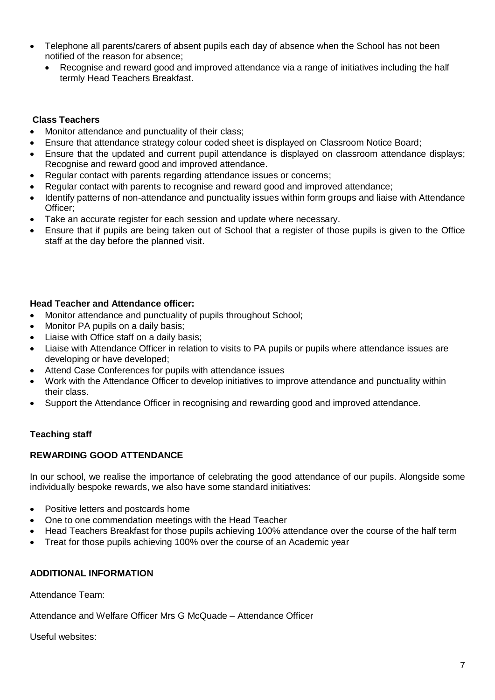- Telephone all parents/carers of absent pupils each day of absence when the School has not been notified of the reason for absence;
	- Recognise and reward good and improved attendance via a range of initiatives including the half termly Head Teachers Breakfast.

## **Class Teachers**

- Monitor attendance and punctuality of their class;
- Ensure that attendance strategy colour coded sheet is displayed on Classroom Notice Board;
- Ensure that the updated and current pupil attendance is displayed on classroom attendance displays; Recognise and reward good and improved attendance.
- Regular contact with parents regarding attendance issues or concerns;
- Regular contact with parents to recognise and reward good and improved attendance;
- Identify patterns of non-attendance and punctuality issues within form groups and liaise with Attendance Officer;
- Take an accurate register for each session and update where necessary.
- Ensure that if pupils are being taken out of School that a register of those pupils is given to the Office staff at the day before the planned visit.

## **Head Teacher and Attendance officer:**

- Monitor attendance and punctuality of pupils throughout School;
- Monitor PA pupils on a daily basis;
- Liaise with Office staff on a daily basis;
- Liaise with Attendance Officer in relation to visits to PA pupils or pupils where attendance issues are developing or have developed;
- Attend Case Conferences for pupils with attendance issues
- Work with the Attendance Officer to develop initiatives to improve attendance and punctuality within their class.
- Support the Attendance Officer in recognising and rewarding good and improved attendance.

# **Teaching staff**

## **REWARDING GOOD ATTENDANCE**

In our school, we realise the importance of celebrating the good attendance of our pupils. Alongside some individually bespoke rewards, we also have some standard initiatives:

- Positive letters and postcards home
- One to one commendation meetings with the Head Teacher
- Head Teachers Breakfast for those pupils achieving 100% attendance over the course of the half term
- Treat for those pupils achieving 100% over the course of an Academic year

## **ADDITIONAL INFORMATION**

Attendance Team:

Attendance and Welfare Officer Mrs G McQuade – Attendance Officer

Useful websites: